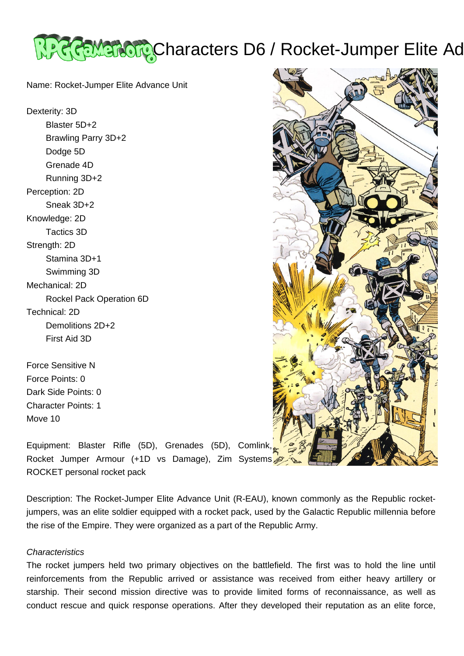

Name: Rocket-Jumper Elite Advance Unit

Dexterity: 3D Blaster 5D+2 Brawling Parry 3D+2 Dodge 5D Grenade 4D Running 3D+2 Perception: 2D Sneak 3D+2 Knowledge: 2D Tactics 3D Strength: 2D Stamina 3D+1 Swimming 3D Mechanical: 2D Rockel Pack Operation 6D Technical: 2D Demolitions 2D+2 First Aid 3D

Force Sensitive N Force Points: 0 Dark Side Points: 0 Character Points: 1 Move 10



Equipment: Blaster Rifle (5D), Grenades (5D), Comlink, Rocket Jumper Armour (+1D vs Damage), Zim Systems ROCKET personal rocket pack

Description: The Rocket-Jumper Elite Advance Unit (R-EAU), known commonly as the Republic rocketjumpers, was an elite soldier equipped with a rocket pack, used by the Galactic Republic millennia before the rise of the Empire. They were organized as a part of the Republic Army.

## **Characteristics**

The rocket jumpers held two primary objectives on the battlefield. The first was to hold the line until reinforcements from the Republic arrived or assistance was received from either heavy artillery or starship. Their second mission directive was to provide limited forms of reconnaissance, as well as conduct rescue and quick response operations. After they developed their reputation as an elite force,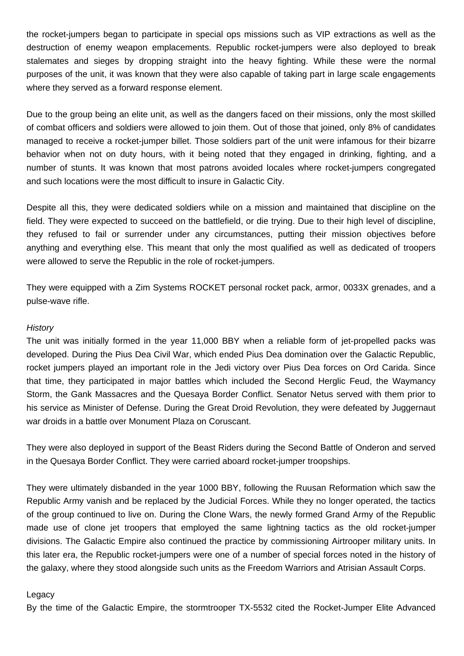the rocket-jumpers began to participate in special ops missions such as VIP extractions as well as the destruction of enemy weapon emplacements. Republic rocket-jumpers were also deployed to break stalemates and sieges by dropping straight into the heavy fighting. While these were the normal purposes of the unit, it was known that they were also capable of taking part in large scale engagements where they served as a forward response element.

Due to the group being an elite unit, as well as the dangers faced on their missions, only the most skilled of combat officers and soldiers were allowed to join them. Out of those that joined, only 8% of candidates managed to receive a rocket-jumper billet. Those soldiers part of the unit were infamous for their bizarre behavior when not on duty hours, with it being noted that they engaged in drinking, fighting, and a number of stunts. It was known that most patrons avoided locales where rocket-jumpers congregated and such locations were the most difficult to insure in Galactic City.

Despite all this, they were dedicated soldiers while on a mission and maintained that discipline on the field. They were expected to succeed on the battlefield, or die trying. Due to their high level of discipline, they refused to fail or surrender under any circumstances, putting their mission objectives before anything and everything else. This meant that only the most qualified as well as dedicated of troopers were allowed to serve the Republic in the role of rocket-jumpers.

They were equipped with a Zim Systems ROCKET personal rocket pack, armor, 0033X grenades, and a pulse-wave rifle.

## **History**

The unit was initially formed in the year 11,000 BBY when a reliable form of jet-propelled packs was developed. During the Pius Dea Civil War, which ended Pius Dea domination over the Galactic Republic, rocket jumpers played an important role in the Jedi victory over Pius Dea forces on Ord Carida. Since that time, they participated in major battles which included the Second Herglic Feud, the Waymancy Storm, the Gank Massacres and the Quesaya Border Conflict. Senator Netus served with them prior to his service as Minister of Defense. During the Great Droid Revolution, they were defeated by Juggernaut war droids in a battle over Monument Plaza on Coruscant.

They were also deployed in support of the Beast Riders during the Second Battle of Onderon and served in the Quesaya Border Conflict. They were carried aboard rocket-jumper troopships.

They were ultimately disbanded in the year 1000 BBY, following the Ruusan Reformation which saw the Republic Army vanish and be replaced by the Judicial Forces. While they no longer operated, the tactics of the group continued to live on. During the Clone Wars, the newly formed Grand Army of the Republic made use of clone jet troopers that employed the same lightning tactics as the old rocket-jumper divisions. The Galactic Empire also continued the practice by commissioning Airtrooper military units. In this later era, the Republic rocket-jumpers were one of a number of special forces noted in the history of the galaxy, where they stood alongside such units as the Freedom Warriors and Atrisian Assault Corps.

## Legacy

By the time of the Galactic Empire, the stormtrooper TX-5532 cited the Rocket-Jumper Elite Advanced